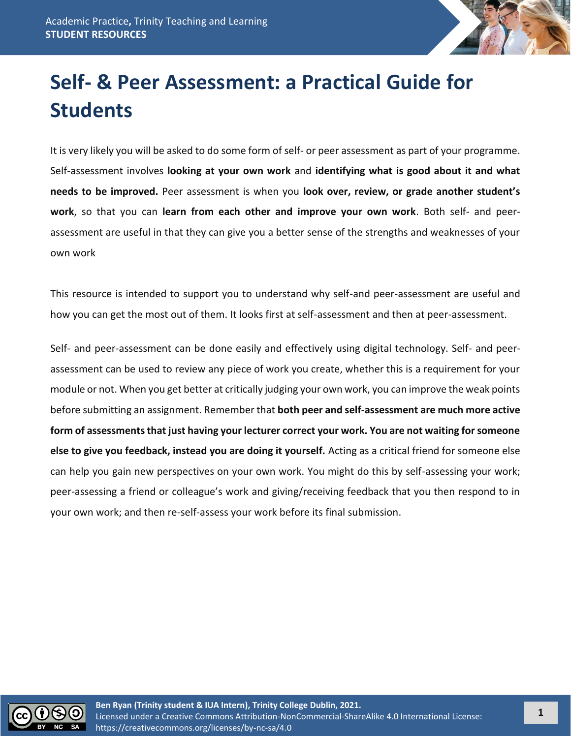

# **Self- & Peer Assessment: a Practical Guide for Students**

It is very likely you will be asked to do some form of self- or peer assessment as part of your programme. Self-assessment involves **looking at your own work** and **identifying what is good about it and what needs to be improved.** Peer assessment is when you **look over, review, or grade another student's work**, so that you can **learn from each other and improve your own work**. Both self- and peerassessment are useful in that they can give you a better sense of the strengths and weaknesses of your own work

This resource is intended to support you to understand why self-and peer-assessment are useful and how you can get the most out of them. It looks first at self-assessment and then at peer-assessment.

Self- and peer-assessment can be done easily and effectively using digital technology. Self- and peerassessment can be used to review any piece of work you create, whether this is a requirement for your module or not. When you get better at critically judging your own work, you can improve the weak points before submitting an assignment. Remember that **both peer and self-assessment are much more active form of assessments that just having your lecturer correct your work. You are not waiting for someone else to give you feedback, instead you are doing it yourself.** Acting as a critical friend for someone else can help you gain new perspectives on your own work. You might do this by self-assessing your work; peer-assessing a friend or colleague's work and giving/receiving feedback that you then respond to in your own work; and then re-self-assess your work before its final submission.

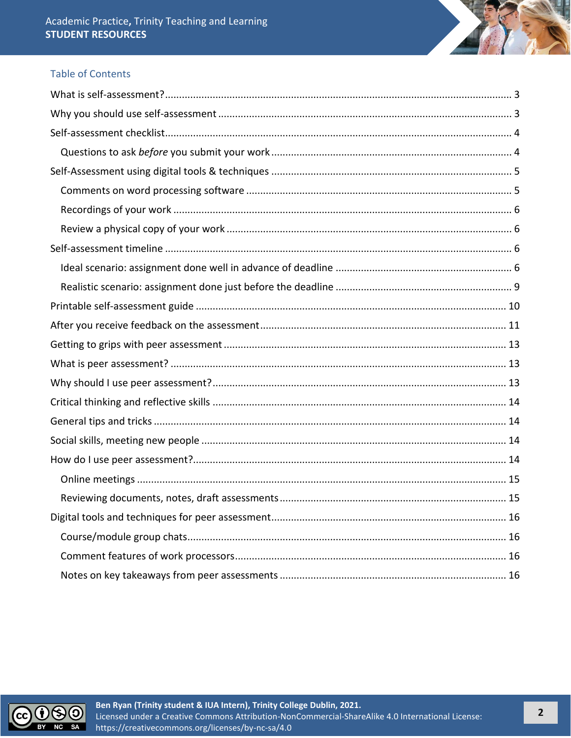# **Table of Contents**

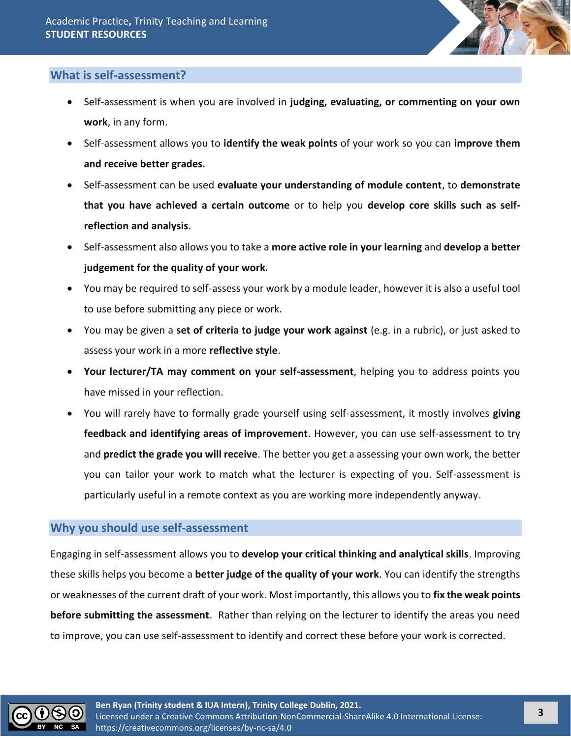

# <span id="page-2-0"></span>**What is self-assessment?**

- Self-assessment is when you are involved in **judging, evaluating, or commenting on your own work**, in any form.
- Self-assessment allows you to **identify the weak points** of your work so you can **improve them and receive better grades.**
- Self-assessment can be used **evaluate your understanding of module content**, to **demonstrate that you have achieved a certain outcome** or to help you **develop core skills such as selfreflection and analysis**.
- Self-assessment also allows you to take a **more active role in your learning** and **develop a better judgement for the quality of your work.**
- You may be required to self-assess your work by a module leader, however it is also a useful tool to use before submitting any piece or work.
- You may be given a **set of criteria to judge your work against** (e.g. in a rubric), or just asked to assess your work in a more **reflective style**.
- **Your lecturer/TA may comment on your self-assessment**, helping you to address points you have missed in your reflection.
- You will rarely have to formally grade yourself using self-assessment, it mostly involves **giving feedback and identifying areas of improvement**. However, you can use self-assessment to try and **predict the grade you will receive**. The better you get a assessing your own work, the better you can tailor your work to match what the lecturer is expecting of you. Self-assessment is particularly useful in a remote context as you are working more independently anyway.

# <span id="page-2-1"></span>**Why you should use self-assessment**

Engaging in self-assessment allows you to **develop your critical thinking and analytical skills**. Improving these skills helps you become a **better judge of the quality of your work**. You can identify the strengths or weaknesses of the current draft of your work. Most importantly, this allows you to **fix the weak points before submitting the assessment**. Rather than relying on the lecturer to identify the areas you need to improve, you can use self-assessment to identify and correct these before your work is corrected.

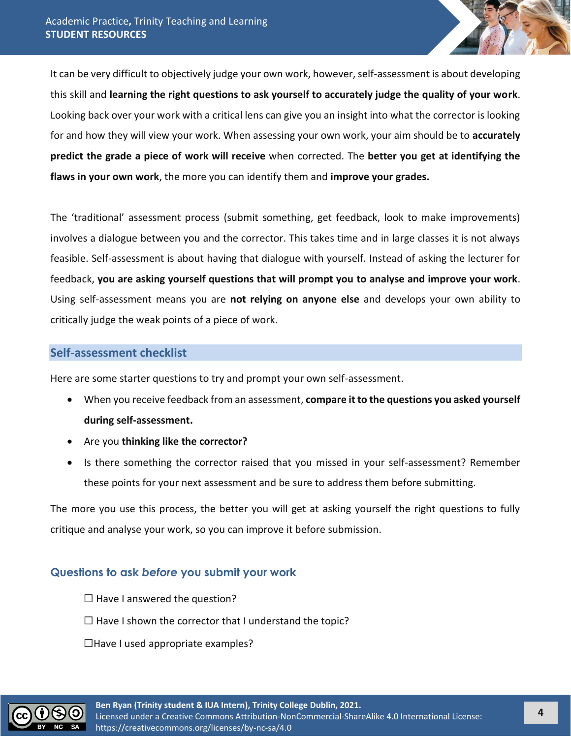It can be very difficult to objectively judge your own work, however, self-assessment is about developing this skill and **learning the right questions to ask yourself to accurately judge the quality of your work**. Looking back over your work with a critical lens can give you an insight into what the corrector is looking for and how they will view your work. When assessing your own work, your aim should be to **accurately predict the grade a piece of work will receive** when corrected. The **better you get at identifying the flaws in your own work**, the more you can identify them and **improve your grades.**

The 'traditional' assessment process (submit something, get feedback, look to make improvements) involves a dialogue between you and the corrector. This takes time and in large classes it is not always feasible. Self-assessment is about having that dialogue with yourself. Instead of asking the lecturer for feedback, **you are asking yourself questions that will prompt you to analyse and improve your work**. Using self-assessment means you are **not relying on anyone else** and develops your own ability to critically judge the weak points of a piece of work.

## <span id="page-3-0"></span>**Self-assessment checklist**

Here are some starter questions to try and prompt your own self-assessment.

- When you receive feedback from an assessment, **compare it to the questions you asked yourself during self-assessment.**
- Are you **thinking like the corrector?**
- Is there something the corrector raised that you missed in your self-assessment? Remember these points for your next assessment and be sure to address them before submitting.

The more you use this process, the better you will get at asking yourself the right questions to fully critique and analyse your work, so you can improve it before submission.

# <span id="page-3-1"></span>**Questions to ask** *before* **you submit your work**

 $\Box$  Have I answered the question?  $\Box$  Have I shown the corrector that I understand the topic?  $\Box$ Have I used appropriate examples?

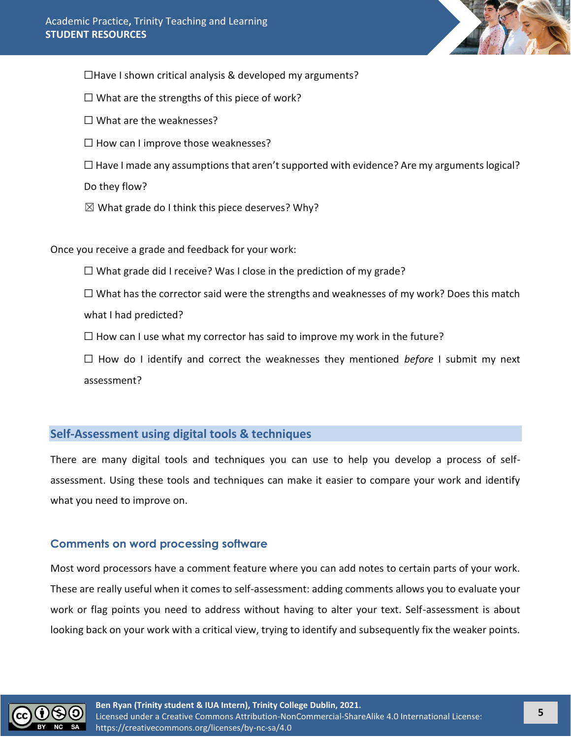

 $\Box$ Have I shown critical analysis & developed my arguments?

 $\Box$  What are the strengths of this piece of work?

 $\Box$  What are the weaknesses?

 $\Box$  How can I improve those weaknesses?

 $\Box$  Have I made any assumptions that aren't supported with evidence? Are my arguments logical?

Do they flow?

 $\boxtimes$  What grade do I think this piece deserves? Why?

Once you receive a grade and feedback for your work:

 $\Box$  What grade did I receive? Was I close in the prediction of my grade?

 $\Box$  What has the corrector said were the strengths and weaknesses of my work? Does this match what I had predicted?

 $\Box$  How can I use what my corrector has said to improve my work in the future?

☐ How do I identify and correct the weaknesses they mentioned *before* I submit my next assessment?

# <span id="page-4-0"></span>**Self-Assessment using digital tools & techniques**

There are many digital tools and techniques you can use to help you develop a process of selfassessment. Using these tools and techniques can make it easier to compare your work and identify what you need to improve on.

# <span id="page-4-1"></span>**Comments on word processing software**

Most word processors have a comment feature where you can add notes to certain parts of your work. These are really useful when it comes to self-assessment: adding comments allows you to evaluate your work or flag points you need to address without having to alter your text. Self-assessment is about looking back on your work with a critical view, trying to identify and subsequently fix the weaker points.

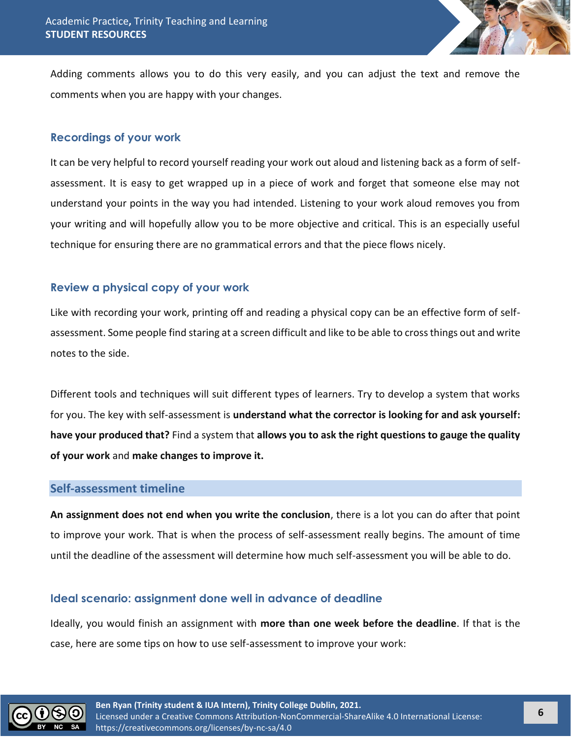

Adding comments allows you to do this very easily, and you can adjust the text and remove the comments when you are happy with your changes.

# <span id="page-5-0"></span>**Recordings of your work**

It can be very helpful to record yourself reading your work out aloud and listening back as a form of selfassessment. It is easy to get wrapped up in a piece of work and forget that someone else may not understand your points in the way you had intended. Listening to your work aloud removes you from your writing and will hopefully allow you to be more objective and critical. This is an especially useful technique for ensuring there are no grammatical errors and that the piece flows nicely.

# <span id="page-5-1"></span>**Review a physical copy of your work**

Like with recording your work, printing off and reading a physical copy can be an effective form of selfassessment. Some people find staring at a screen difficult and like to be able to cross things out and write notes to the side.

Different tools and techniques will suit different types of learners. Try to develop a system that works for you. The key with self-assessment is **understand what the corrector is looking for and ask yourself: have your produced that?** Find a system that **allows you to ask the right questions to gauge the quality of your work** and **make changes to improve it.**

#### <span id="page-5-2"></span>**Self-assessment timeline**

**An assignment does not end when you write the conclusion**, there is a lot you can do after that point to improve your work. That is when the process of self-assessment really begins. The amount of time until the deadline of the assessment will determine how much self-assessment you will be able to do.

# <span id="page-5-3"></span>**Ideal scenario: assignment done well in advance of deadline**

Ideally, you would finish an assignment with **more than one week before the deadline**. If that is the case, here are some tips on how to use self-assessment to improve your work:

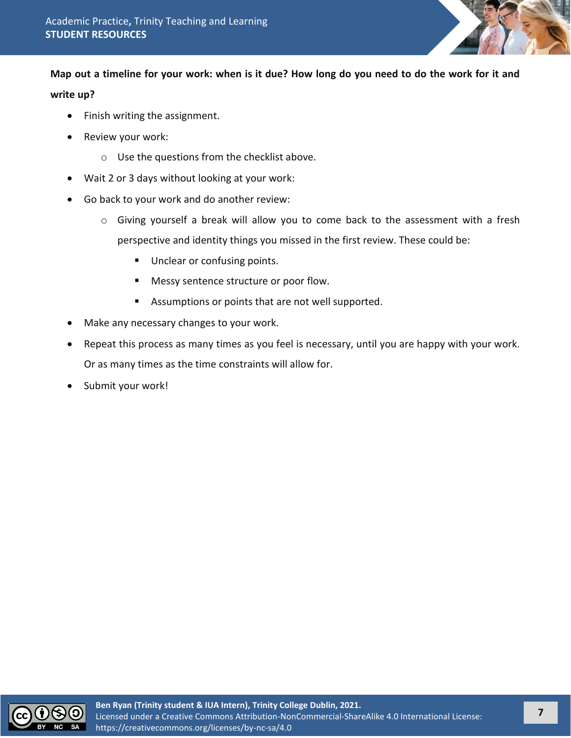

**Map out a timeline for your work: when is it due? How long do you need to do the work for it and** 

#### **write up?**

- Finish writing the assignment.
- Review your work:
	- o Use the questions from the checklist above.
- Wait 2 or 3 days without looking at your work:
- Go back to your work and do another review:
	- o Giving yourself a break will allow you to come back to the assessment with a fresh perspective and identity things you missed in the first review. These could be:
		- Unclear or confusing points.
		- Messy sentence structure or poor flow.
		- Assumptions or points that are not well supported.
- Make any necessary changes to your work.
- Repeat this process as many times as you feel is necessary, until you are happy with your work. Or as many times as the time constraints will allow for.
- Submit your work!

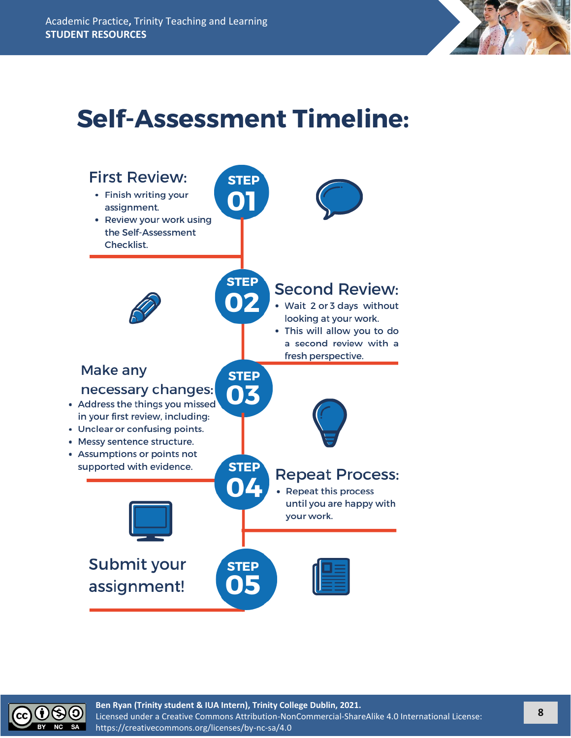

# **Self-Assessment Timeline:**



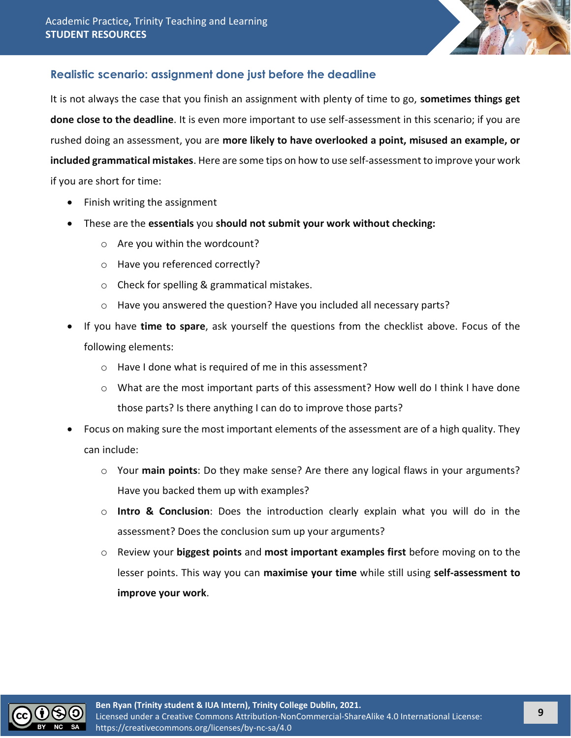

# <span id="page-8-0"></span>**Realistic scenario: assignment done just before the deadline**

It is not always the case that you finish an assignment with plenty of time to go, **sometimes things get done close to the deadline**. It is even more important to use self-assessment in this scenario; if you are rushed doing an assessment, you are **more likely to have overlooked a point, misused an example, or included grammatical mistakes**. Here are some tips on how to use self-assessment to improve your work if you are short for time:

- Finish writing the assignment
- These are the **essentials** you **should not submit your work without checking:**
	- o Are you within the wordcount?
	- o Have you referenced correctly?
	- o Check for spelling & grammatical mistakes.
	- o Have you answered the question? Have you included all necessary parts?
- If you have **time to spare**, ask yourself the questions from the checklist above. Focus of the following elements:
	- o Have I done what is required of me in this assessment?
	- o What are the most important parts of this assessment? How well do I think I have done those parts? Is there anything I can do to improve those parts?
- Focus on making sure the most important elements of the assessment are of a high quality. They can include:
	- o Your **main points**: Do they make sense? Are there any logical flaws in your arguments? Have you backed them up with examples?
	- o **Intro & Conclusion**: Does the introduction clearly explain what you will do in the assessment? Does the conclusion sum up your arguments?
	- o Review your **biggest points** and **most important examples first** before moving on to the lesser points. This way you can **maximise your time** while still using **self-assessment to improve your work**.

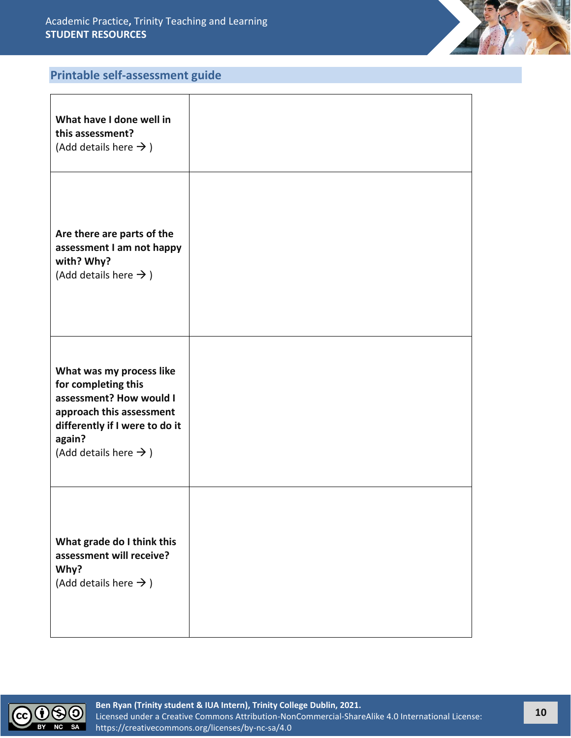

# <span id="page-9-0"></span>**Printable self-assessment guide**

| What have I done well in<br>this assessment?<br>(Add details here $\rightarrow$ )                                                                                                       |  |
|-----------------------------------------------------------------------------------------------------------------------------------------------------------------------------------------|--|
| Are there are parts of the<br>assessment I am not happy<br>with? Why?<br>(Add details here $\rightarrow$ )                                                                              |  |
| What was my process like<br>for completing this<br>assessment? How would I<br>approach this assessment<br>differently if I were to do it<br>again?<br>(Add details here $\rightarrow$ ) |  |
| What grade do I think this<br>assessment will receive?<br>Why?<br>(Add details here $\rightarrow$ )                                                                                     |  |

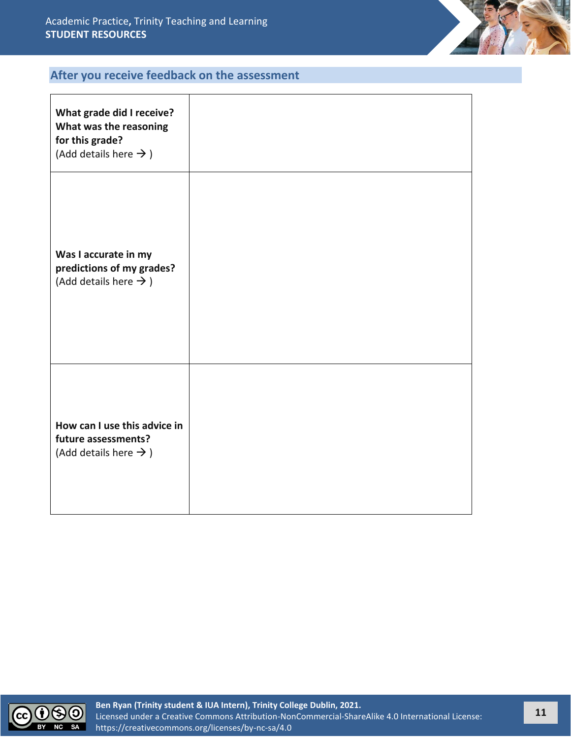

# <span id="page-10-0"></span>**After you receive feedback on the assessment**

| What grade did I receive?<br>What was the reasoning<br>for this grade?<br>(Add details here $\rightarrow$ ) |  |
|-------------------------------------------------------------------------------------------------------------|--|
| Was I accurate in my<br>predictions of my grades?<br>(Add details here $\rightarrow$ )                      |  |
| How can I use this advice in<br>future assessments?<br>(Add details here $\rightarrow$ )                    |  |

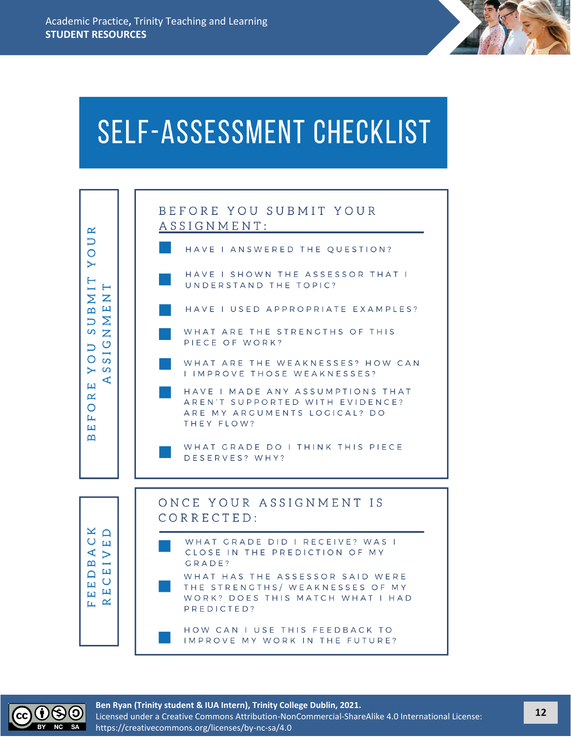# **SELF-ASSESSMENT CHECKLIST**



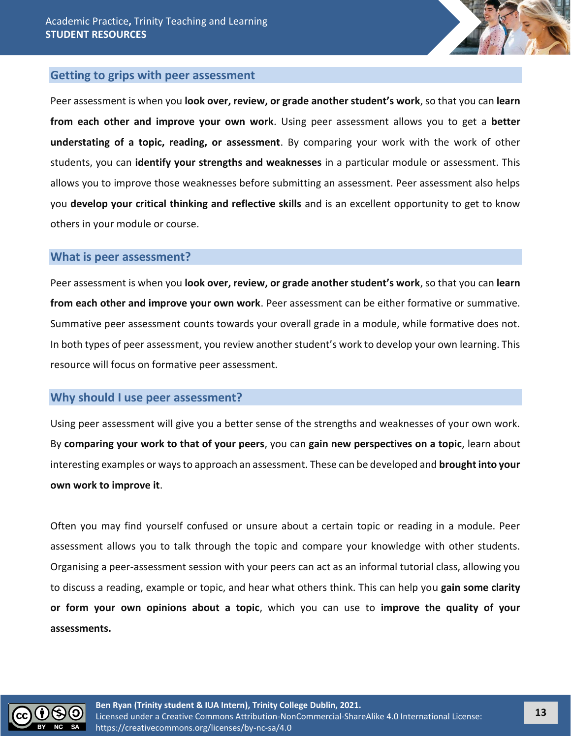

#### <span id="page-12-0"></span>**Getting to grips with peer assessment**

Peer assessment is when you **look over, review, or grade another student's work**, so that you can **learn from each other and improve your own work**. Using peer assessment allows you to get a **better understating of a topic, reading, or assessment**. By comparing your work with the work of other students, you can **identify your strengths and weaknesses** in a particular module or assessment. This allows you to improve those weaknesses before submitting an assessment. Peer assessment also helps you **develop your critical thinking and reflective skills** and is an excellent opportunity to get to know others in your module or course.

#### <span id="page-12-1"></span>**What is peer assessment?**

Peer assessment is when you **look over, review, or grade another student's work**, so that you can **learn from each other and improve your own work**. Peer assessment can be either formative or summative. Summative peer assessment counts towards your overall grade in a module, while formative does not. In both types of peer assessment, you review another student's work to develop your own learning. This resource will focus on formative peer assessment.

#### <span id="page-12-2"></span>**Why should I use peer assessment?**

Using peer assessment will give you a better sense of the strengths and weaknesses of your own work. By **comparing your work to that of your peers**, you can **gain new perspectives on a topic**, learn about interesting examples or ways to approach an assessment. These can be developed and **brought into your own work to improve it**.

Often you may find yourself confused or unsure about a certain topic or reading in a module. Peer assessment allows you to talk through the topic and compare your knowledge with other students. Organising a peer-assessment session with your peers can act as an informal tutorial class, allowing you to discuss a reading, example or topic, and hear what others think. This can help you **gain some clarity or form your own opinions about a topic**, which you can use to **improve the quality of your assessments.**

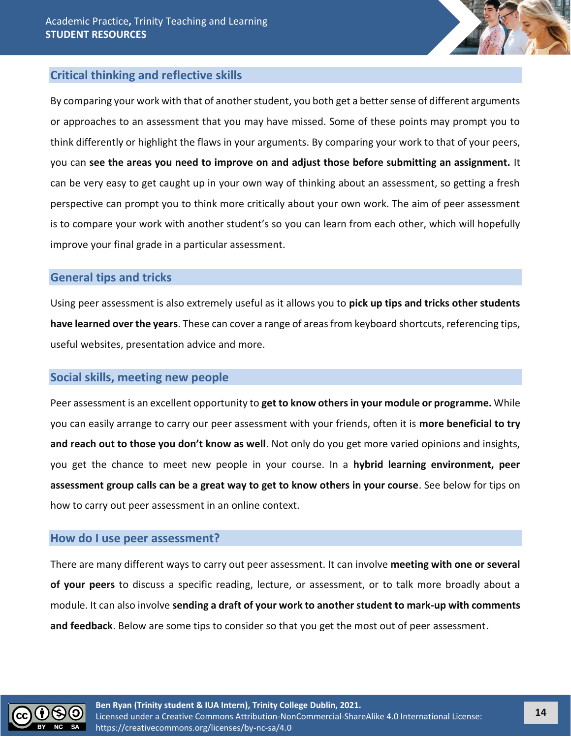

# <span id="page-13-0"></span>**Critical thinking and reflective skills**

By comparing your work with that of another student, you both get a better sense of different arguments or approaches to an assessment that you may have missed. Some of these points may prompt you to think differently or highlight the flaws in your arguments. By comparing your work to that of your peers, you can **see the areas you need to improve on and adjust those before submitting an assignment.** It can be very easy to get caught up in your own way of thinking about an assessment, so getting a fresh perspective can prompt you to think more critically about your own work. The aim of peer assessment is to compare your work with another student's so you can learn from each other, which will hopefully improve your final grade in a particular assessment.

## <span id="page-13-1"></span>**General tips and tricks**

Using peer assessment is also extremely useful as it allows you to **pick up tips and tricks other students have learned over the years**. These can cover a range of areas from keyboard shortcuts, referencing tips, useful websites, presentation advice and more.

#### <span id="page-13-2"></span>**Social skills, meeting new people**

Peer assessment is an excellent opportunity to **get to know others in your module or programme.** While you can easily arrange to carry our peer assessment with your friends, often it is **more beneficial to try and reach out to those you don't know as well**. Not only do you get more varied opinions and insights, you get the chance to meet new people in your course. In a **hybrid learning environment, peer assessment group calls can be a great way to get to know others in your course**. See below for tips on how to carry out peer assessment in an online context.

#### <span id="page-13-3"></span>**How do I use peer assessment?**

There are many different ways to carry out peer assessment. It can involve **meeting with one or several of your peers** to discuss a specific reading, lecture, or assessment, or to talk more broadly about a module. It can also involve **sending a draft of your work to another student to mark-up with comments and feedback**. Below are some tips to consider so that you get the most out of peer assessment.

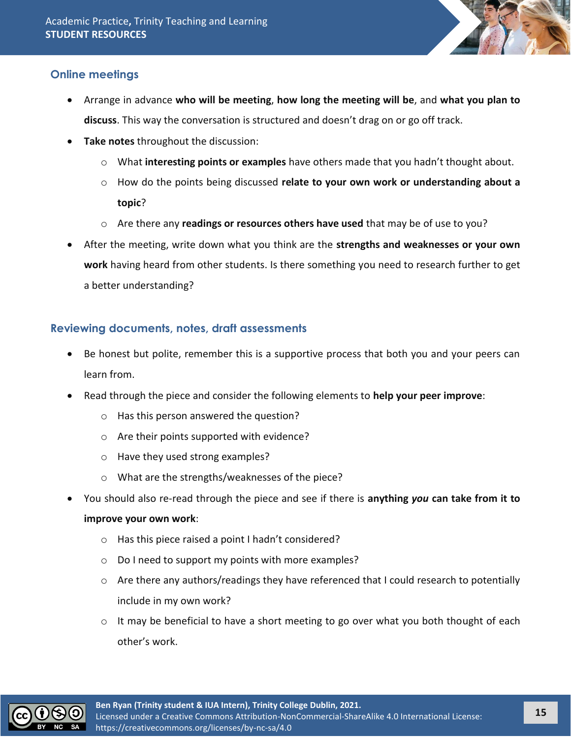

# <span id="page-14-0"></span>**Online meetings**

- Arrange in advance **who will be meeting**, **how long the meeting will be**, and **what you plan to discuss**. This way the conversation is structured and doesn't drag on or go off track.
- **Take notes** throughout the discussion:
	- o What **interesting points or examples** have others made that you hadn't thought about.
	- o How do the points being discussed **relate to your own work or understanding about a topic**?
	- o Are there any **readings or resources others have used** that may be of use to you?
- After the meeting, write down what you think are the **strengths and weaknesses or your own work** having heard from other students. Is there something you need to research further to get a better understanding?

# <span id="page-14-1"></span>**Reviewing documents, notes, draft assessments**

- Be honest but polite, remember this is a supportive process that both you and your peers can learn from.
- Read through the piece and consider the following elements to **help your peer improve**:
	- o Has this person answered the question?
	- o Are their points supported with evidence?
	- o Have they used strong examples?
	- o What are the strengths/weaknesses of the piece?
- You should also re-read through the piece and see if there is **anything** *you* **can take from it to improve your own work**:
	- o Has this piece raised a point I hadn't considered?
	- o Do I need to support my points with more examples?
	- $\circ$  Are there any authors/readings they have referenced that I could research to potentially include in my own work?
	- $\circ$  It may be beneficial to have a short meeting to go over what you both thought of each other's work.

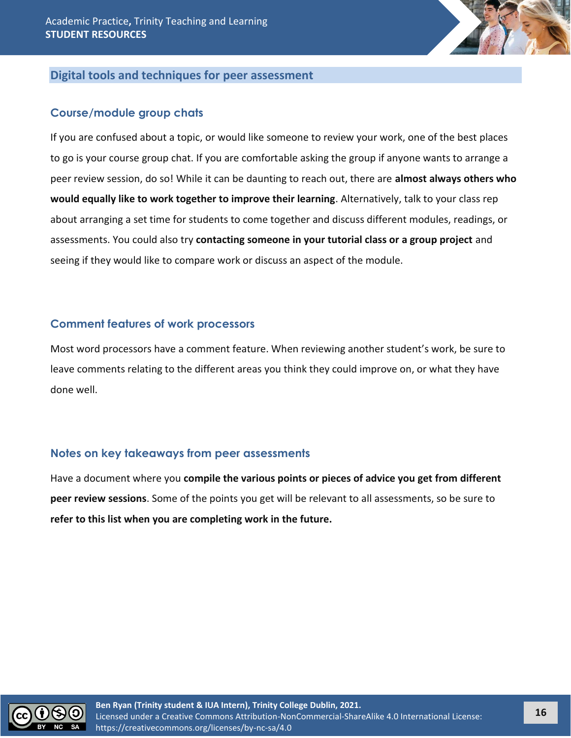

# <span id="page-15-0"></span>**Digital tools and techniques for peer assessment**

#### <span id="page-15-1"></span>**Course/module group chats**

If you are confused about a topic, or would like someone to review your work, one of the best places to go is your course group chat. If you are comfortable asking the group if anyone wants to arrange a peer review session, do so! While it can be daunting to reach out, there are **almost always others who would equally like to work together to improve their learning**. Alternatively, talk to your class rep about arranging a set time for students to come together and discuss different modules, readings, or assessments. You could also try **contacting someone in your tutorial class or a group project** and seeing if they would like to compare work or discuss an aspect of the module.

#### <span id="page-15-2"></span>**Comment features of work processors**

Most word processors have a comment feature. When reviewing another student's work, be sure to leave comments relating to the different areas you think they could improve on, or what they have done well.

# <span id="page-15-3"></span>**Notes on key takeaways from peer assessments**

Have a document where you **compile the various points or pieces of advice you get from different peer review sessions**. Some of the points you get will be relevant to all assessments, so be sure to **refer to this list when you are completing work in the future.**